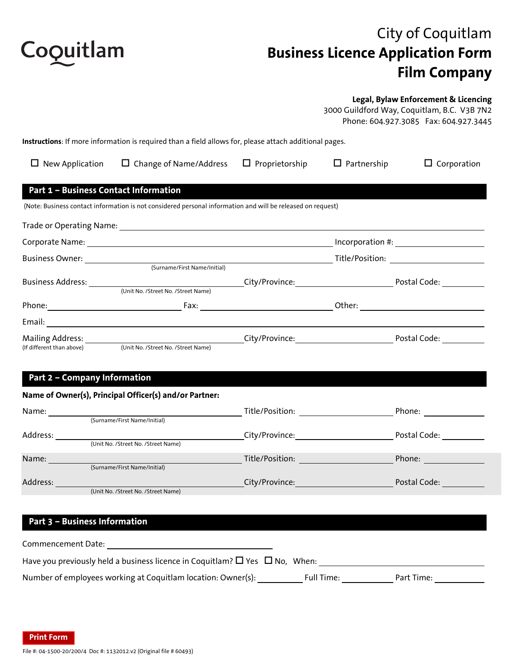

# City of Coquitlam **Business Licence Application Form Film Company**

#### **Legal, Bylaw Enforcement & Licencing**

3000 Guildford Way, Coquitlam, B.C. V3B 7N2 Phone: 604.927.3085 Fax: 604.927.3445

**Instructions**: If more information is required than a field allows for, please attach additional pages.

| $\Box$ New Application                       | $\Box$ Change of Name/Address                                                                               | $\Box$ Proprietorship | $\Box$ Partnership | $\Box$ Corporation                         |
|----------------------------------------------|-------------------------------------------------------------------------------------------------------------|-----------------------|--------------------|--------------------------------------------|
| <b>Part 1 - Business Contact Information</b> |                                                                                                             |                       |                    |                                            |
|                                              | (Note: Business contact information is not considered personal information and will be released on request) |                       |                    |                                            |
|                                              |                                                                                                             |                       |                    |                                            |
|                                              |                                                                                                             |                       |                    |                                            |
|                                              |                                                                                                             |                       |                    | Title/Position: __________________________ |
|                                              | (Surname/First Name/Initial)                                                                                |                       |                    |                                            |
|                                              |                                                                                                             |                       |                    | City/Province: National Postal Code:       |
|                                              | (Unit No. /Street No. /Street Name)                                                                         |                       |                    |                                            |
|                                              |                                                                                                             |                       |                    |                                            |
|                                              |                                                                                                             |                       |                    |                                            |
|                                              |                                                                                                             |                       |                    |                                            |
|                                              | (If different than above) (Unit No. /Street No. /Street Name)                                               |                       |                    |                                            |
|                                              |                                                                                                             |                       |                    |                                            |

## **Part 2 – Company Information**

#### **Name of Owner(s), Principal Officer(s) and/or Partner:**

| Name:    |                                     | Title/Position: | Phone:       |
|----------|-------------------------------------|-----------------|--------------|
|          | (Surname/First Name/Initial)        |                 |              |
| Address: |                                     | City/Province:  | Postal Code: |
|          | (Unit No. /Street No. /Street Name) |                 |              |
| Name:    |                                     | Title/Position: | Phone:       |
|          | (Surname/First Name/Initial)        |                 |              |
| Address: |                                     | City/Province:  | Postal Code: |
|          | (Unit No. /Street No. /Street Name) |                 |              |

### **Part 3 – Business Information**

| Commencement Date:                                                                          |            |            |
|---------------------------------------------------------------------------------------------|------------|------------|
| Have you previously held a business licence in Coquitlam? $\square$ Yes $\square$ No, When: |            |            |
| Number of employees working at Coquitlam location: Owner(s):                                | Full Time: | Part Time: |

**Print Form**